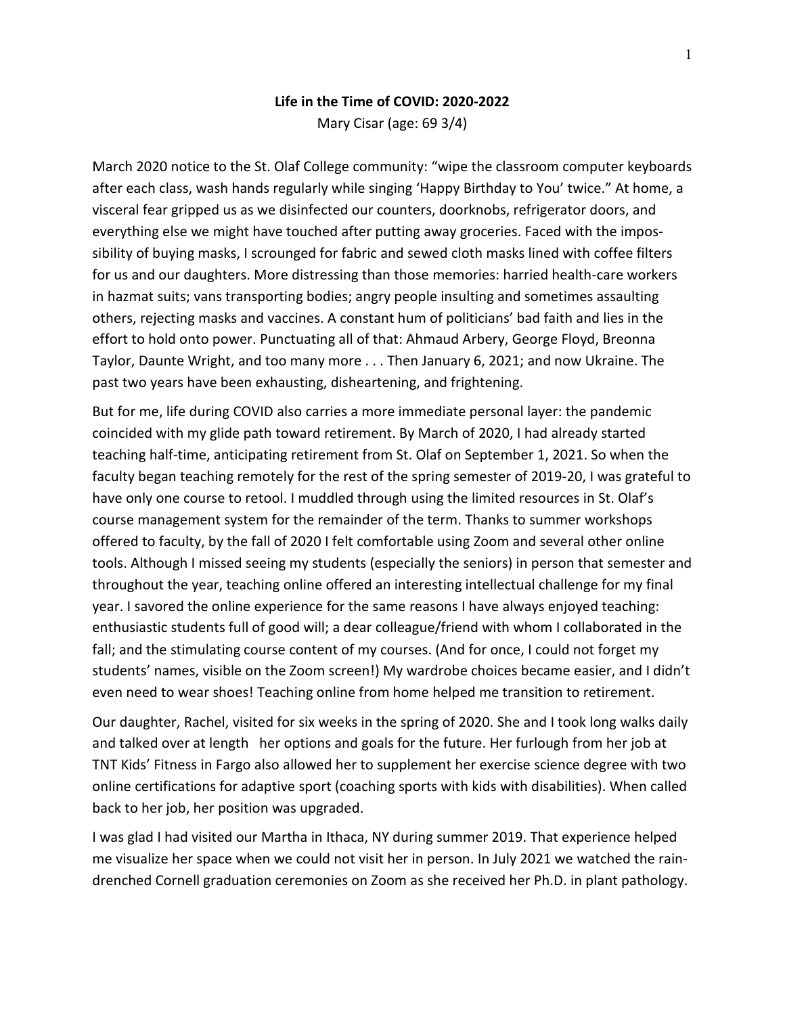## **Life in the Time of COVID: 2020-2022**

Mary Cisar (age: 69 3/4)

March 2020 notice to the St. Olaf College community: "wipe the classroom computer keyboards after each class, wash hands regularly while singing 'Happy Birthday to You' twice." At home, a visceral fear gripped us as we disinfected our counters, doorknobs, refrigerator doors, and everything else we might have touched after putting away groceries. Faced with the impossibility of buying masks, I scrounged for fabric and sewed cloth masks lined with coffee filters for us and our daughters. More distressing than those memories: harried health-care workers in hazmat suits; vans transporting bodies; angry people insulting and sometimes assaulting others, rejecting masks and vaccines. A constant hum of politicians' bad faith and lies in the effort to hold onto power. Punctuating all of that: Ahmaud Arbery, George Floyd, Breonna Taylor, Daunte Wright, and too many more . . . Then January 6, 2021; and now Ukraine. The past two years have been exhausting, disheartening, and frightening.

But for me, life during COVID also carries a more immediate personal layer: the pandemic coincided with my glide path toward retirement. By March of 2020, I had already started teaching half-time, anticipating retirement from St. Olaf on September 1, 2021. So when the faculty began teaching remotely for the rest of the spring semester of 2019-20, I was grateful to have only one course to retool. I muddled through using the limited resources in St. Olaf's course management system for the remainder of the term. Thanks to summer workshops offered to faculty, by the fall of 2020 I felt comfortable using Zoom and several other online tools. Although I missed seeing my students (especially the seniors) in person that semester and throughout the year, teaching online offered an interesting intellectual challenge for my final year. I savored the online experience for the same reasons I have always enjoyed teaching: enthusiastic students full of good will; a dear colleague/friend with whom I collaborated in the fall; and the stimulating course content of my courses. (And for once, I could not forget my students' names, visible on the Zoom screen!) My wardrobe choices became easier, and I didn't even need to wear shoes! Teaching online from home helped me transition to retirement.

Our daughter, Rachel, visited for six weeks in the spring of 2020. She and I took long walks daily and talked over at length her options and goals for the future. Her furlough from her job at TNT Kids' Fitness in Fargo also allowed her to supplement her exercise science degree with two online certifications for adaptive sport (coaching sports with kids with disabilities). When called back to her job, her position was upgraded.

I was glad I had visited our Martha in Ithaca, NY during summer 2019. That experience helped me visualize her space when we could not visit her in person. In July 2021 we watched the raindrenched Cornell graduation ceremonies on Zoom as she received her Ph.D. in plant pathology.